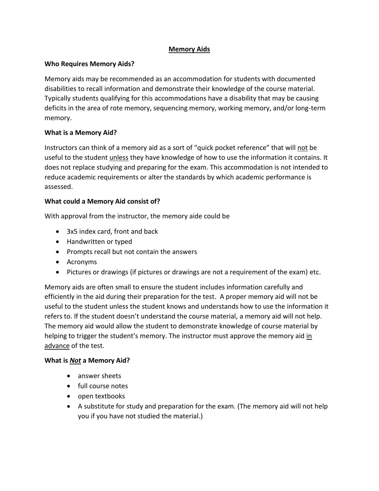# **Memory Aids**

# **Who Requires Memory Aids?**

Memory aids may be recommended as an accommodation for students with documented disabilities to recall information and demonstrate their knowledge of the course material. Typically students qualifying for this accommodations have a disability that may be causing deficits in the area of rote memory, sequencing memory, working memory, and/or long-term memory.

# **What is a Memory Aid?**

Instructors can think of a memory aid as a sort of "quick pocket reference" that will not be useful to the student unless they have knowledge of how to use the information it contains. It does not replace studying and preparing for the exam. This accommodation is not intended to reduce academic requirements or alter the standards by which academic performance is assessed.

# **What could a Memory Aid consist of?**

With approval from the instructor, the memory aide could be

- 3x5 index card, front and back
- Handwritten or typed
- Prompts recall but not contain the answers
- Acronyms
- Pictures or drawings (if pictures or drawings are not a requirement of the exam) etc.

Memory aids are often small to ensure the student includes information carefully and efficiently in the aid during their preparation for the test. A proper memory aid will not be useful to the student unless the student knows and understands how to use the information it refers to. If the student doesn't understand the course material, a memory aid will not help. The memory aid would allow the student to demonstrate knowledge of course material by helping to trigger the student's memory. The instructor must approve the memory aid in advance of the test.

# **What is** *Not* **a Memory Aid?**

- answer sheets
- full course notes
- open textbooks
- A substitute for study and preparation for the exam. (The memory aid will not help you if you have not studied the material.)